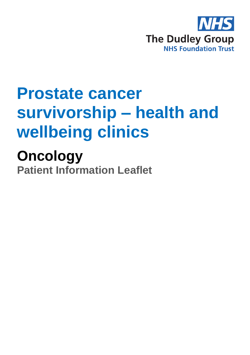

# **Prostate cancer survivorship – health and wellbeing clinics**

**Oncology Patient Information Leaflet**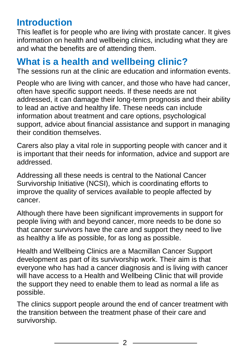# **Introduction**

This leaflet is for people who are living with prostate cancer. It gives information on health and wellbeing clinics, including what they are and what the benefits are of attending them.

### **What is a health and wellbeing clinic?**

The sessions run at the clinic are education and information events.

People who are living with cancer, and those who have had cancer, often have specific support needs. If these needs are not addressed, it can damage their long-term prognosis and their ability to lead an active and healthy life. These needs can include information about treatment and care options, psychological support, advice about financial assistance and support in managing their condition themselves.

Carers also play a vital role in supporting people with cancer and it is important that their needs for information, advice and support are addressed.

Addressing all these needs is central to the National Cancer Survivorship Initiative (NCSI), which is coordinating efforts to improve the quality of services available to people affected by cancer.

Although there have been significant improvements in support for people living with and beyond cancer, more needs to be done so that cancer survivors have the care and support they need to live as healthy a life as possible, for as long as possible.

Health and Wellbeing Clinics are a Macmillan Cancer Support development as part of its survivorship work. Their aim is that everyone who has had a cancer diagnosis and is living with cancer will have access to a Health and Wellbeing Clinic that will provide the support they need to enable them to lead as normal a life as possible.

The clinics support people around the end of cancer treatment with the transition between the treatment phase of their care and survivorship.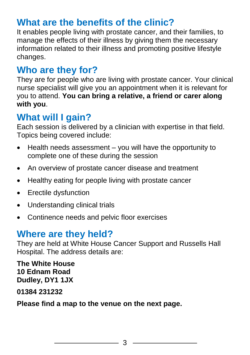# **What are the benefits of the clinic?**

It enables people living with prostate cancer, and their families, to manage the effects of their illness by giving them the necessary information related to their illness and promoting positive lifestyle changes.

# **Who are they for?**

They are for people who are living with prostate cancer. Your clinical nurse specialist will give you an appointment when it is relevant for you to attend. **You can bring a relative, a friend or carer along with you**.

#### **What will I gain?**

Each session is delivered by a clinician with expertise in that field. Topics being covered include:

- Health needs assessment you will have the opportunity to complete one of these during the session
- An overview of prostate cancer disease and treatment
- Healthy eating for people living with prostate cancer
- Erectile dysfunction
- Understanding clinical trials
- Continence needs and pelvic floor exercises

### **Where are they held?**

They are held at White House Cancer Support and Russells Hall Hospital. The address details are:

**The White House 10 Ednam Road Dudley, DY1 1JX** 

**01384 231232**

**Please find a map to the venue on the next page.**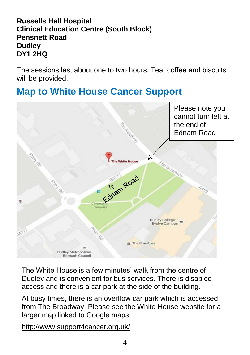#### **Russells Hall Hospital Clinical Education Centre (South Block) Pensnett Road Dudley DY1 2HQ**

The sessions last about one to two hours. Tea, coffee and biscuits will be provided.

# **Map to White House Cancer Support**



The White House is a few minutes' walk from the centre of Dudley and is convenient for bus services. There is disabled access and there is a car park at the side of the building.

At busy times, there is an overflow car park which is accessed from The Broadway. Please see the White House website for a larger map linked to Google maps:

<http://www.support4cancer.org.uk/>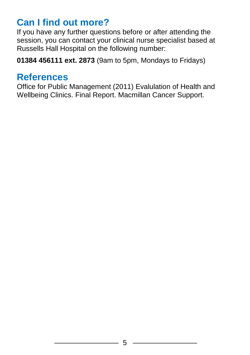# **Can I find out more?**

If you have any further questions before or after attending the session, you can contact your clinical nurse specialist based at Russells Hall Hospital on the following number:

**01384 456111 ext. 2873** (9am to 5pm, Mondays to Fridays)

#### **References**

Office for Public Management (2011) Evalulation of Health and Wellbeing Clinics. Final Report. Macmillan Cancer Support.